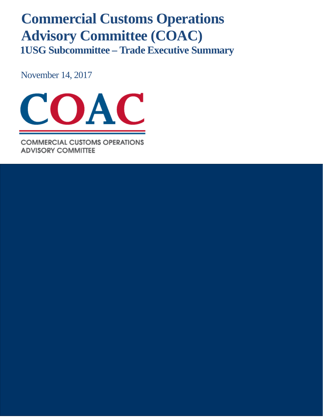# **Commercial Customs Operations Advisory Committee (COAC) 1USG Subcommittee – Trade Executive Summary**

November 14, 2017



**COMMERCIAL CUSTOMS OPERATIONS ADVISORY COMMITTEE**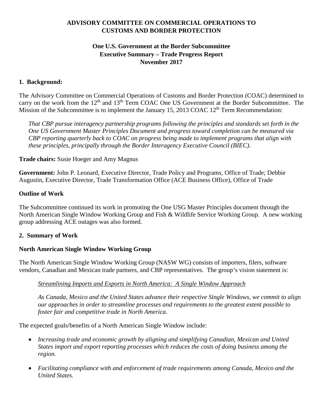# **ADVISORY COMMITTEE ON COMMERCIAL OPERATIONS TO CUSTOMS AND BORDER PROTECTION**

# **One U.S. Government at the Border Subcommittee Executive Summary – Trade Progress Report November 2017**

### **1. Background:**

The Advisory Committee on Commercial Operations of Customs and Border Protection (COAC) determined to carry on the work from the  $12<sup>th</sup>$  and  $13<sup>th</sup>$  Term COAC One US Government at the Border Subcommittee. The Mission of the Subcommittee is to implement the January 15, 2013 COAC  $12<sup>th</sup>$  Term Recommendation:

*That CBP pursue interagency partnership programs following the principles and standards set forth in the One US Government Master Principles Document and progress toward completion can be measured via CBP reporting quarterly back to COAC on progress being made to implement programs that align with these principles, principally through the Border Interagency Executive Council (BIEC).*

#### **Trade chairs:** Susie Hoeger and Amy Magnus

**Government:** John P. Leonard, Executive Director, Trade Policy and Programs, Office of Trade; Debbie Augustin, Executive Director, Trade Transformation Office (ACE Business Office), Office of Trade

#### **Outline of Work**

The Subcommittee continued its work in promoting the One USG Master Principles document through the North American Single Window Working Group and Fish & Wildlife Service Working Group. A new working group addressing ACE outages was also formed.

### **2. Summary of Work**

### **North American Single Window Working Group**

The North American Single Window Working Group (NASW WG) consists of importers, filers, software vendors, Canadian and Mexican trade partners, and CBP representatives. The group's vision statement is:

### *Streamlining Imports and Exports in North America: A Single Window Approach*

*As Canada, Mexico and the United States advance their respective Single Windows, we commit to align our approaches in order to streamline processes and requirements to the greatest extent possible to foster fair and competitive trade in North America.*

The expected goals/benefits of a North American Single Window include:

- *Increasing trade and economic growth by aligning and simplifying Canadian, Mexican and United States import and export reporting processes which reduces the costs of doing business among the region.*
- *Facilitating compliance with and enforcement of trade requirements among Canada, Mexico and the United States.*